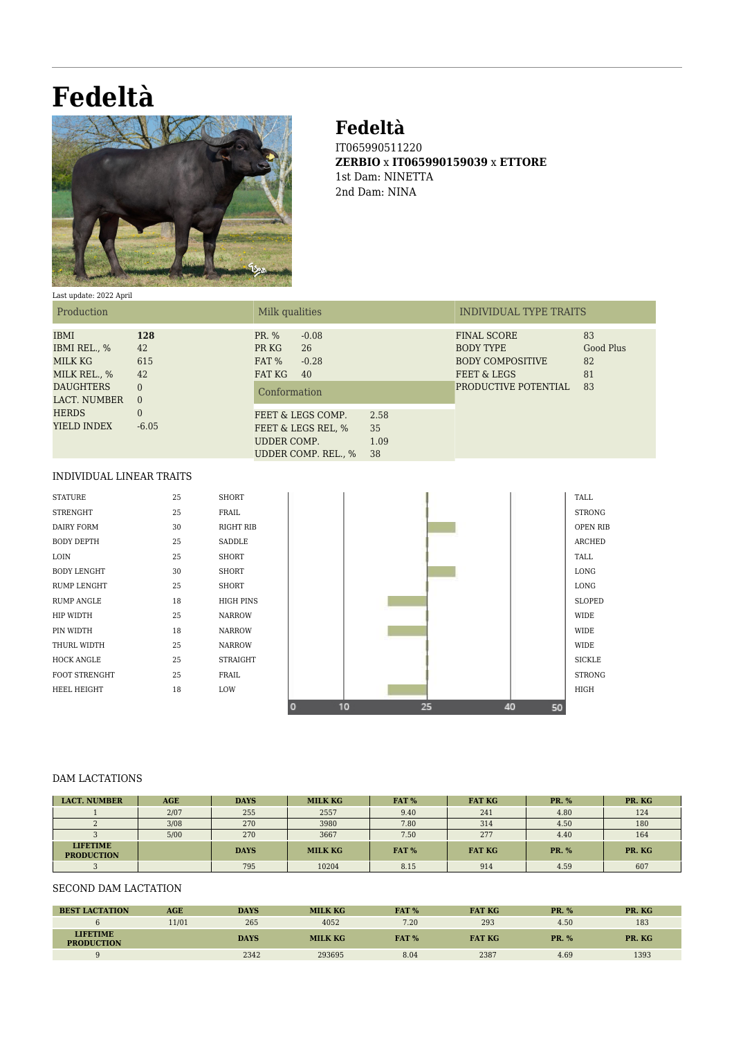# **Fedeltà**



## **Fedeltà**

IT065990511220 **ZERBIO** x **IT065990159039** x **ETTORE** 1st Dam: NINETTA 2nd Dam: NINA

#### Last update: 2022 April

| Production                                                                                                                |                                                                             | Milk qualities                                                                      |                          | INDIVIDUAL TYPE TRAITS                                                                                          |                                   |  |
|---------------------------------------------------------------------------------------------------------------------------|-----------------------------------------------------------------------------|-------------------------------------------------------------------------------------|--------------------------|-----------------------------------------------------------------------------------------------------------------|-----------------------------------|--|
| <b>IBMI</b><br>IBMI REL., %<br>MILK KG<br>MILK REL., %<br><b>DAUGHTERS</b><br>LACT. NUMBER<br><b>HERDS</b><br>YIELD INDEX | 128<br>42<br>615<br>42<br>$\Omega$<br>$\overline{0}$<br>$\Omega$<br>$-6.05$ | PR. %<br>$-0.08$<br>26<br>PR KG<br>FAT %<br>$-0.28$<br>FAT KG<br>40<br>Conformation |                          | <b>FINAL SCORE</b><br><b>BODY TYPE</b><br><b>BODY COMPOSITIVE</b><br>FEET & LEGS<br><b>PRODUCTIVE POTENTIAL</b> | 83<br>Good Plus<br>82<br>81<br>83 |  |
|                                                                                                                           |                                                                             | FEET & LEGS COMP.<br>FEET & LEGS REL, %<br>UDDER COMP.<br>UDDER COMP. REL., %       | 2.58<br>35<br>1.09<br>38 |                                                                                                                 |                                   |  |

#### INDIVIDUAL LINEAR TRAITS

| <b>STATURE</b>       | 25 | <b>SHORT</b>   |
|----------------------|----|----------------|
| <b>STRENGHT</b>      | 25 | FRAII.         |
| <b>DAIRY FORM</b>    | 30 | <b>RIGHT R</b> |
| <b>BODY DEPTH</b>    | 25 | SADDLE         |
| <b>LOIN</b>          | 25 | <b>SHORT</b>   |
| <b>BODY LENGHT</b>   | 30 | <b>SHORT</b>   |
| <b>RUMP LENGHT</b>   | 25 | <b>SHORT</b>   |
| RUMP ANGLE           | 18 | HIGH PII       |
| <b>HIP WIDTH</b>     | 25 | <b>NARROW</b>  |
| PIN WIDTH            | 18 | <b>NARROW</b>  |
| THURI. WIDTH         | 25 | <b>NARROW</b>  |
| HOCK ANGLE           | 25 | <b>STRAIGE</b> |
| <b>FOOT STRENGHT</b> | 25 | FRAIL.         |
| <b>HEEL HEIGHT</b>   | 18 | <b>LOW</b>     |
|                      |    |                |



#### DAM LACTATIONS

| <b>LACT. NUMBER</b>                  | <b>AGE</b> | <b>DAYS</b> | <b>MILK KG</b> | FAT % | <b>FAT KG</b> | <b>PR.</b> % | PR. KG |
|--------------------------------------|------------|-------------|----------------|-------|---------------|--------------|--------|
|                                      | 2/07       | 255         | 2557           | 9.40  | 241           | 4.80         | 124    |
|                                      | 3/08       | 270         | 3980           | 7.80  | 314           | 4.50         | 180    |
|                                      | 5/00       | 270         | 3667           | 7.50  | 277           | 4.40         | 164    |
| <b>LIFETIME</b><br><b>PRODUCTION</b> |            | <b>DAYS</b> | <b>MILK KG</b> | FAT % | <b>FAT KG</b> | <b>PR.</b> % | PR. KG |
|                                      |            | 795         | 10204          | 8.15  | 914           | 4.59         | 607    |

### SECOND DAM LACTATION

| <b>BEST LACTATION</b>                | AGE   | <b>DAYS</b> | <b>MILK KG</b> | FAT %        | <b>FAT KG</b> | <b>PR. %</b> | PR. KG |
|--------------------------------------|-------|-------------|----------------|--------------|---------------|--------------|--------|
|                                      | 11/01 | 265         | 4052           | 7.20         | 293           | 4.50         | 183    |
| <b>LIFETIME</b><br><b>PRODUCTION</b> |       | <b>DAYS</b> | <b>MILK KG</b> | <b>FAT %</b> | <b>FAT KG</b> | <b>PR. %</b> | PR. KG |
| $\Omega$                             |       | 2342        | 293695         | 8.04         | 2387          | 4.69         | 1393   |